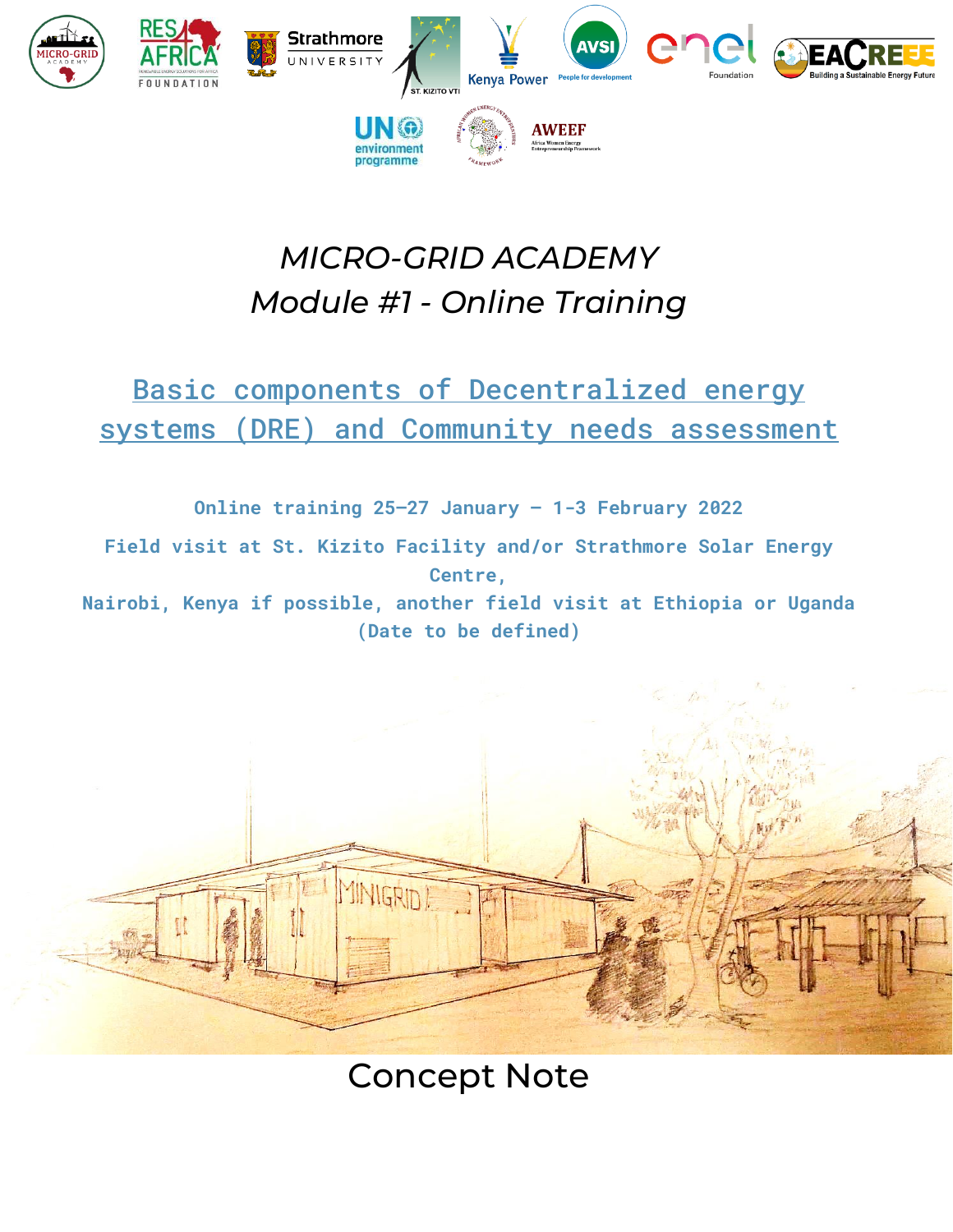

# *MICRO-GRID ACADEMY Module #1 - Online Training*

## Basic components of Decentralized energy systems (DRE) and Community needs assessment

**Online training 25–27 January – 1-3 February 2022**

**Field visit at St. Kizito Facility and/or Strathmore Solar Energy Centre,** 

**Nairobi, Kenya if possible, another field visit at Ethiopia or Uganda (Date to be defined)**



Concept Note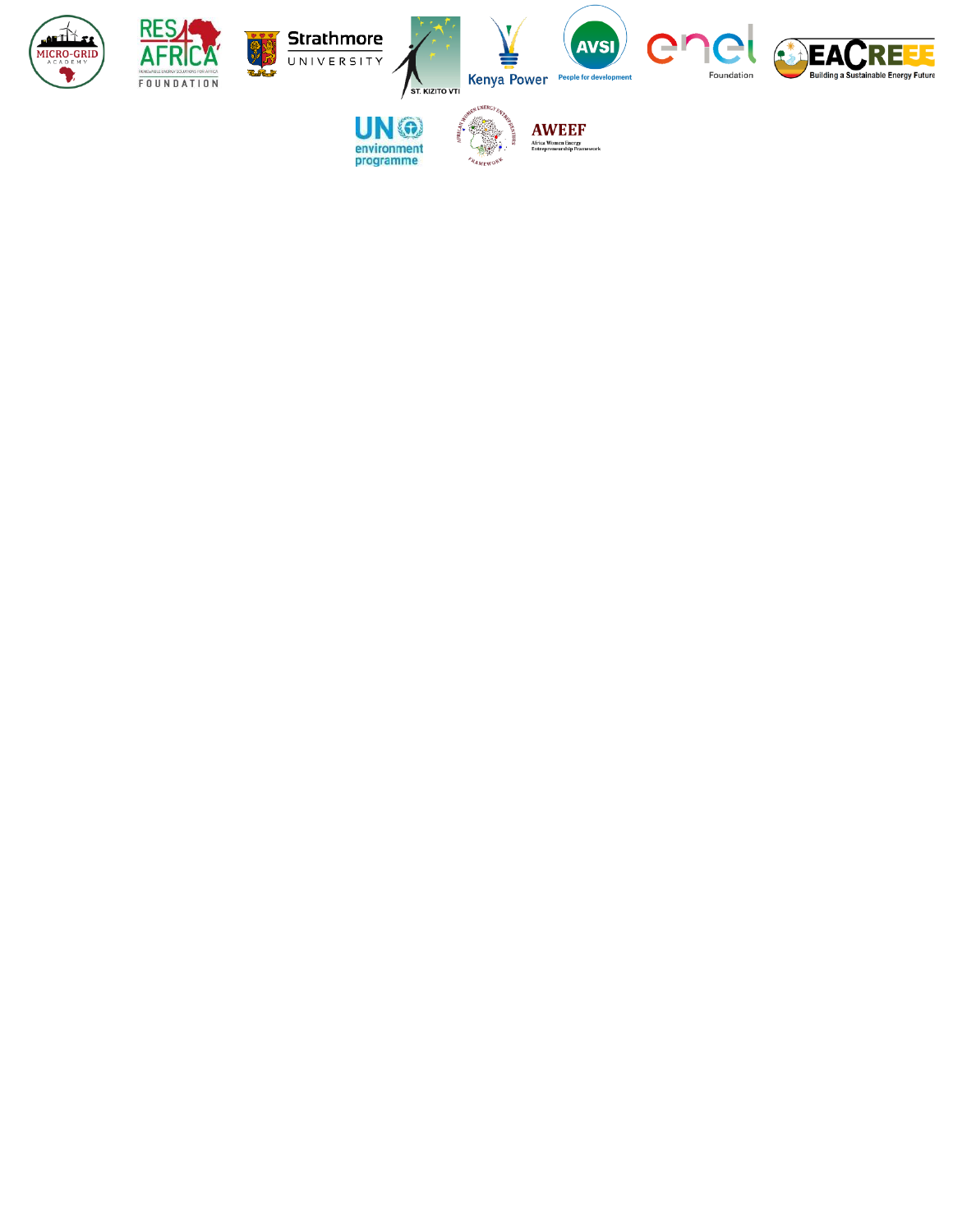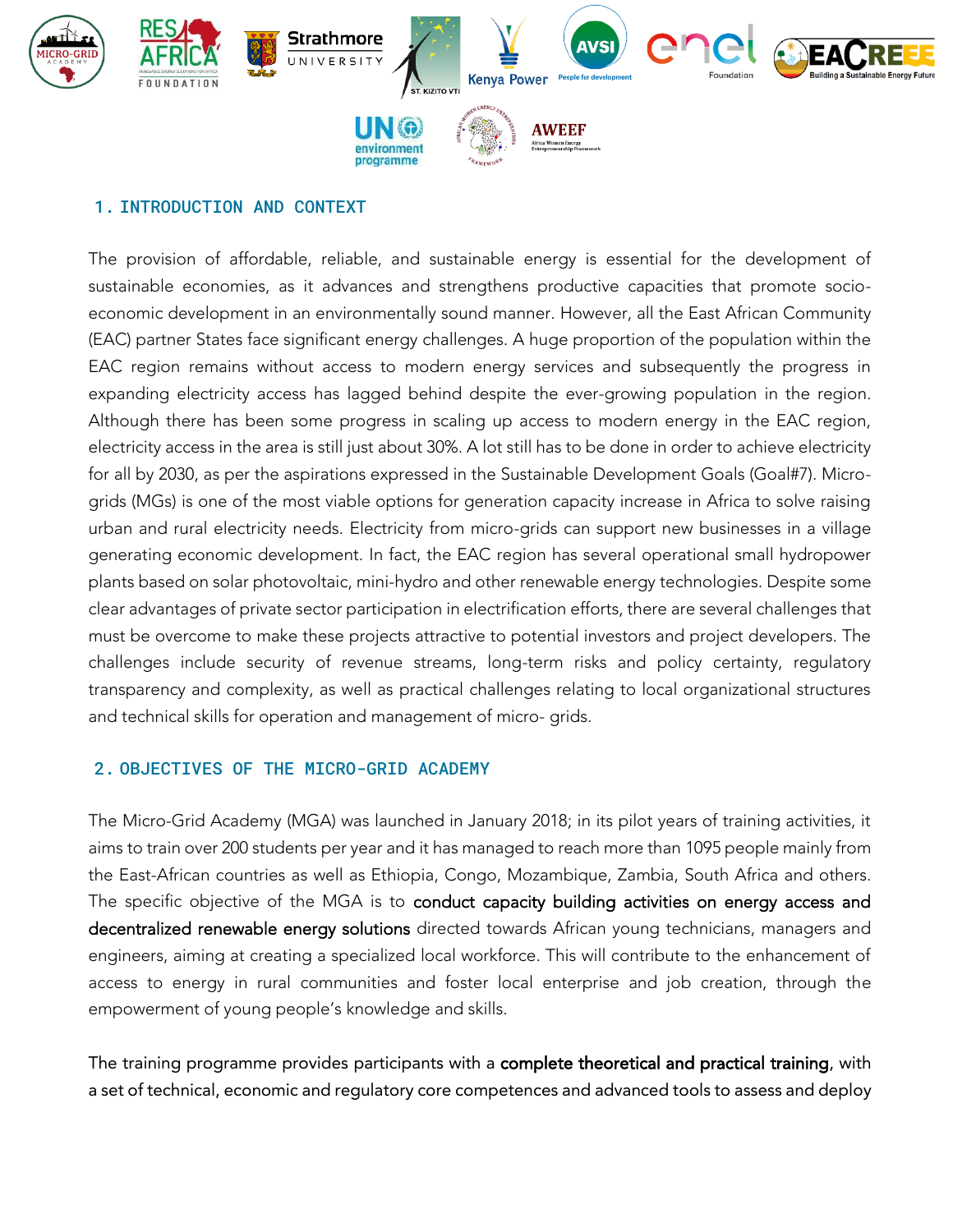

#### 1. INTRODUCTION AND CONTEXT

The provision of affordable, reliable, and sustainable energy is essential for the development of sustainable economies, as it advances and strengthens productive capacities that promote socioeconomic development in an environmentally sound manner. However, all the East African Community (EAC) partner States face significant energy challenges. A huge proportion of the population within the EAC region remains without access to modern energy services and subsequently the progress in expanding electricity access has lagged behind despite the ever-growing population in the region. Although there has been some progress in scaling up access to modern energy in the EAC region, electricity access in the area is still just about 30%. A lot still has to be done in order to achieve electricity for all by 2030, as per the aspirations expressed in the Sustainable Development Goals (Goal#7). Microgrids (MGs) is one of the most viable options for generation capacity increase in Africa to solve raising urban and rural electricity needs. Electricity from micro-grids can support new businesses in a village generating economic development. In fact, the EAC region has several operational small hydropower plants based on solar photovoltaic, mini-hydro and other renewable energy technologies. Despite some clear advantages of private sector participation in electrification efforts, there are several challenges that must be overcome to make these projects attractive to potential investors and project developers. The challenges include security of revenue streams, long-term risks and policy certainty, regulatory transparency and complexity, as well as practical challenges relating to local organizational structures and technical skills for operation and management of micro- grids.

#### 2. OBJECTIVES OF THE MICRO-GRID ACADEMY

The Micro-Grid Academy (MGA) was launched in January 2018; in its pilot years of training activities, it aims to train over 200 students per year and it has managed to reach more than 1095 people mainly from the East-African countries as well as Ethiopia, Congo, Mozambique, Zambia, South Africa and others. The specific objective of the MGA is to conduct capacity building activities on energy access and decentralized renewable energy solutions directed towards African young technicians, managers and engineers, aiming at creating a specialized local workforce. This will contribute to the enhancement of access to energy in rural communities and foster local enterprise and job creation, through the empowerment of young people's knowledge and skills.

The training programme provides participants with a complete theoretical and practical training, with a set of technical, economic and regulatory core competences and advanced tools to assess and deploy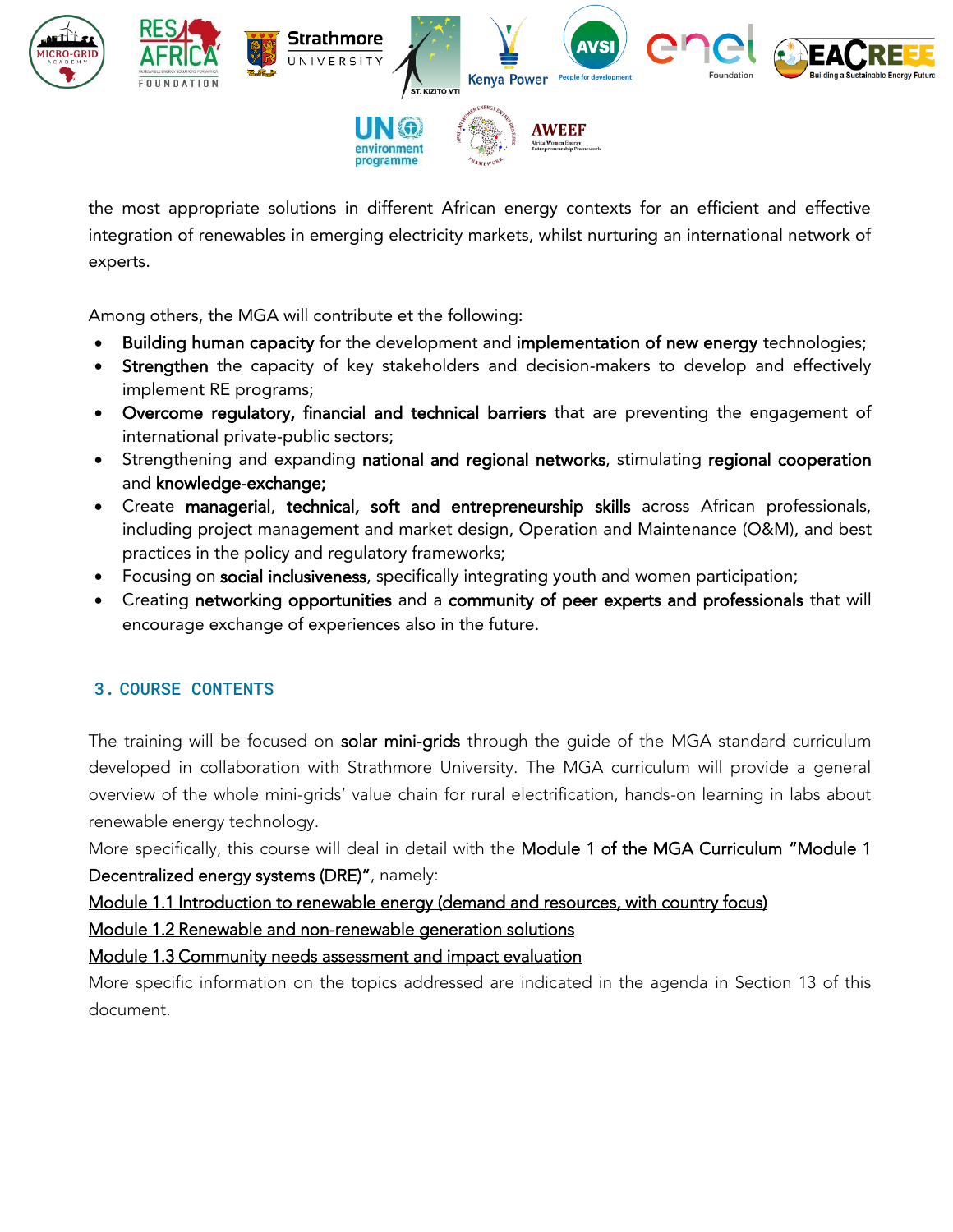

the most appropriate solutions in different African energy contexts for an efficient and effective integration of renewables in emerging electricity markets, whilst nurturing an international network of experts.

Among others, the MGA will contribute et the following:

- Building human capacity for the development and implementation of new energy technologies;
- Strengthen the capacity of key stakeholders and decision-makers to develop and effectively implement RE programs;
- Overcome regulatory, financial and technical barriers that are preventing the engagement of international private-public sectors;
- Strengthening and expanding national and regional networks, stimulating regional cooperation and knowledge-exchange;
- Create managerial, technical, soft and entrepreneurship skills across African professionals, including project management and market design, Operation and Maintenance (O&M), and best practices in the policy and regulatory frameworks;
- Focusing on social inclusiveness, specifically integrating youth and women participation;
- Creating networking opportunities and a community of peer experts and professionals that will encourage exchange of experiences also in the future.

## 3. COURSE CONTENTS

The training will be focused on solar mini-grids through the guide of the MGA standard curriculum developed in collaboration with Strathmore University. The MGA curriculum will provide a general overview of the whole mini-grids' value chain for rural electrification, hands-on learning in labs about renewable energy technology.

More specifically, this course will deal in detail with the Module 1 of the MGA Curriculum "Module 1 Decentralized energy systems (DRE)", namely:

Module 1.1 Introduction to renewable energy (demand and resources, with country focus)

Module 1.2 Renewable and non-renewable generation solutions

Module 1.3 Community needs assessment and impact evaluation

More specific information on the topics addressed are indicated in the agenda in Section 13 of this document.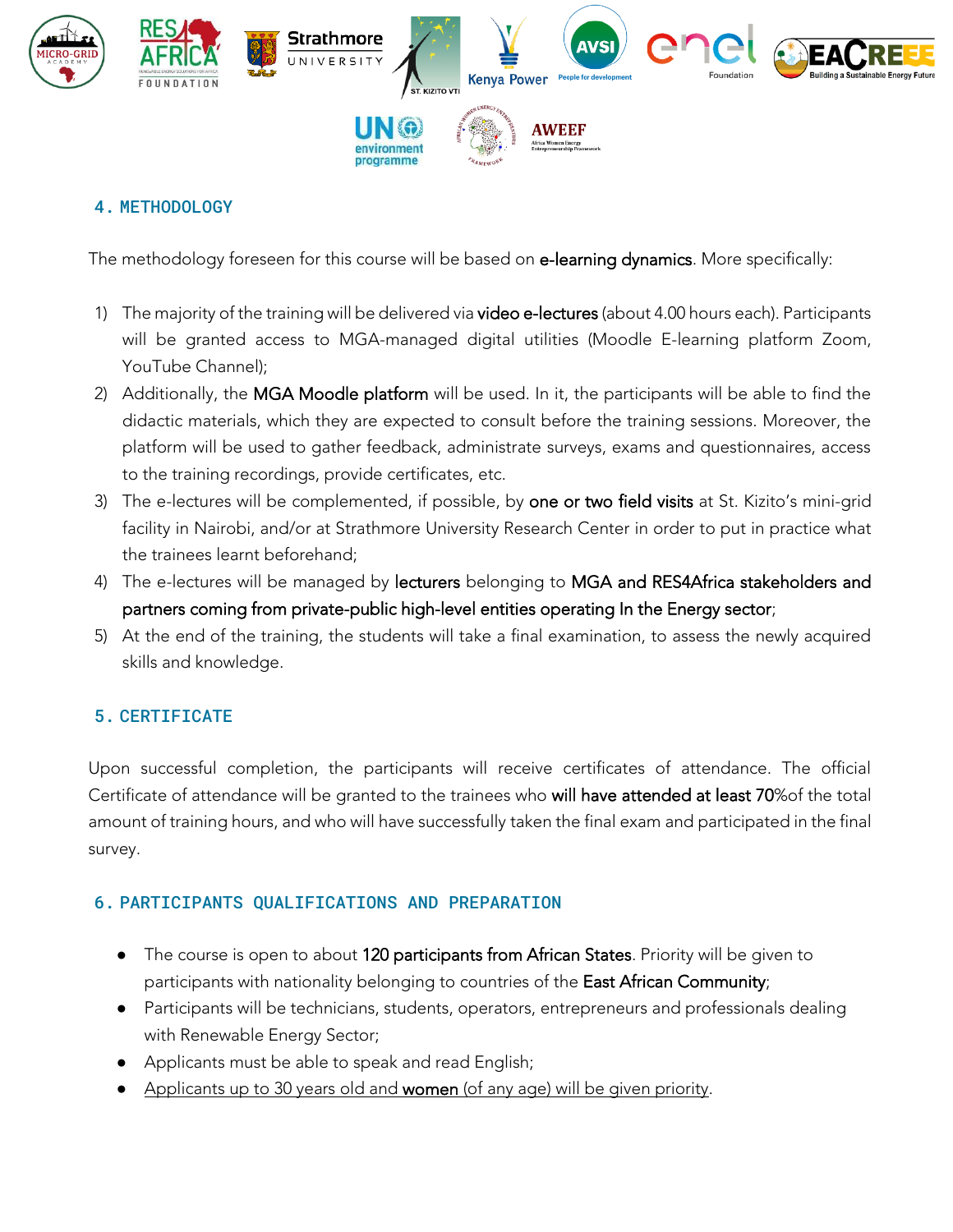

## 4. METHODOLOGY

The methodology foreseen for this course will be based on e-learning dynamics. More specifically:

- 1) The majority of the training will be delivered via video e-lectures (about 4.00 hours each). Participants will be granted access to MGA-managed digital utilities (Moodle E-learning platform Zoom, YouTube Channel);
- 2) Additionally, the MGA Moodle platform will be used. In it, the participants will be able to find the didactic materials, which they are expected to consult before the training sessions. Moreover, the platform will be used to gather feedback, administrate surveys, exams and questionnaires, access to the training recordings, provide certificates, etc.
- 3) The e-lectures will be complemented, if possible, by one or two field visits at St. Kizito's mini-grid facility in Nairobi, and/or at Strathmore University Research Center in order to put in practice what the trainees learnt beforehand;
- 4) The e-lectures will be managed by lecturers belonging to MGA and RES4Africa stakeholders and partners coming from private-public high-level entities operating In the Energy sector;
- 5) At the end of the training, the students will take a final examination, to assess the newly acquired skills and knowledge.

#### 5. CERTIFICATE

Upon successful completion, the participants will receive certificates of attendance. The official Certificate of attendance will be granted to the trainees who will have attended at least 70%of the total amount of training hours, and who will have successfully taken the final exam and participated in the final survey.

## 6. PARTICIPANTS QUALIFICATIONS AND PREPARATION

- The course is open to about 120 participants from African States. Priority will be given to participants with nationality belonging to countries of the East African Community;
- Participants will be technicians, students, operators, entrepreneurs and professionals dealing with Renewable Energy Sector;
- Applicants must be able to speak and read English;
- Applicants up to 30 years old and women (of any age) will be given priority.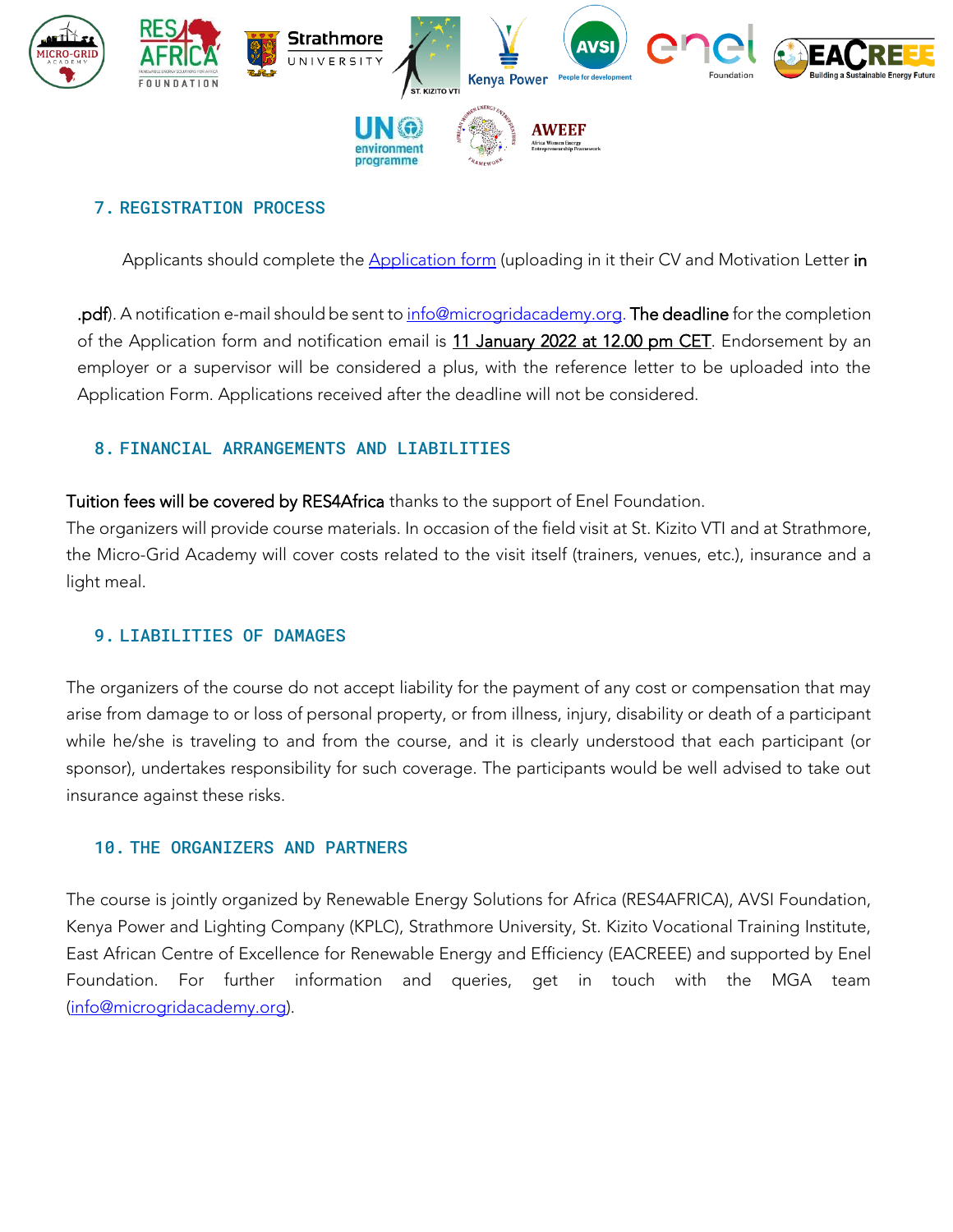

#### 7. REGISTRATION PROCESS

Applicants should complete the **Application form** (uploading in it their CV and Motivation Letter in

.pdf). A notification e-mail should be sent t[o info@microgridacademy.org.](mailto:info@microgridacademy.org) The deadline for the completion of the Application form and notification email is 11 January 2022 at 12.00 pm CET. Endorsement by an employer or a supervisor will be considered a plus, with the reference letter to be uploaded into the Application Form. Applications received after the deadline will not be considered.

### 8. FINANCIAL ARRANGEMENTS AND LIABILITIES

Tuition fees will be covered by RES4Africa thanks to the support of Enel Foundation.

The organizers will provide course materials. In occasion of the field visit at St. Kizito VTI and at Strathmore, the Micro-Grid Academy will cover costs related to the visit itself (trainers, venues, etc.), insurance and a light meal.

#### 9. LIABILITIES OF DAMAGES

The organizers of the course do not accept liability for the payment of any cost or compensation that may arise from damage to or loss of personal property, or from illness, injury, disability or death of a participant while he/she is traveling to and from the course, and it is clearly understood that each participant (or sponsor), undertakes responsibility for such coverage. The participants would be well advised to take out insurance against these risks.

#### 10. THE ORGANIZERS AND PARTNERS

The course is jointly organized by Renewable Energy Solutions for Africa (RES4AFRICA), AVSI Foundation, Kenya Power and Lighting Company (KPLC), Strathmore University, St. Kizito Vocational Training Institute, East African Centre of Excellence for Renewable Energy and Efficiency (EACREEE) and supported by Enel Foundation. For further information and queries, get in touch with the MGA team [\(info@microgridacademy.org\)](mailto:info@microgridacademy.org).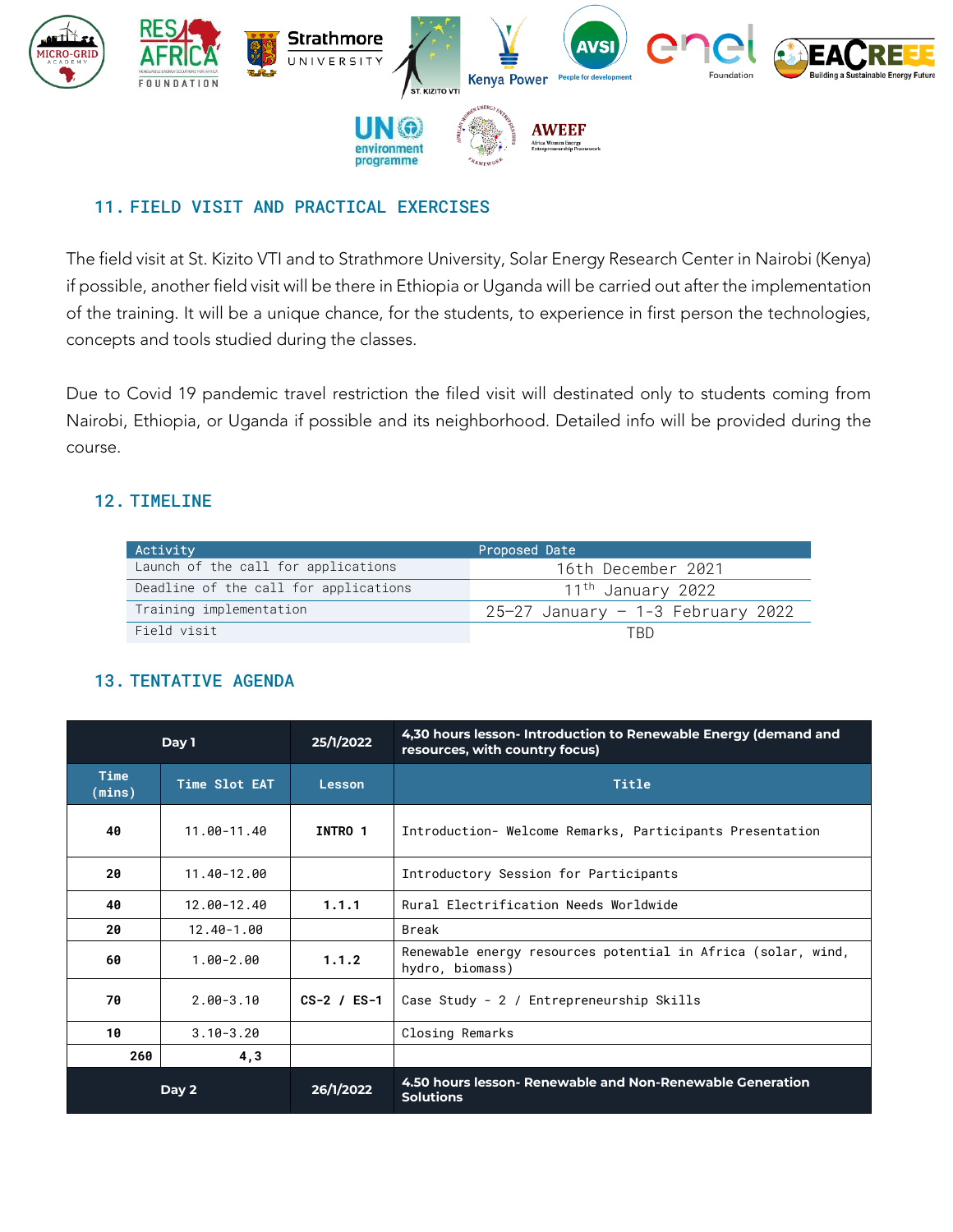

#### 11. FIELD VISIT AND PRACTICAL EXERCISES

The field visit at St. Kizito VTI and to Strathmore University, Solar Energy Research Center in Nairobi (Kenya) if possible, another field visit will be there in Ethiopia or Uganda will be carried out after the implementation of the training. It will be a unique chance, for the students, to experience in first person the technologies, concepts and tools studied during the classes.

Due to Covid 19 pandemic travel restriction the filed visit will destinated only to students coming from Nairobi, Ethiopia, or Uganda if possible and its neighborhood. Detailed info will be provided during the course.

#### 12. TIMELINE

| Activity                              | Proposed Date                       |
|---------------------------------------|-------------------------------------|
| Launch of the call for applications   | 16th December 2021                  |
| Deadline of the call for applications | 11 <sup>th</sup> January 2022       |
| Training implementation               | $25-27$ January - 1-3 February 2022 |
| Field visit                           | TRD                                 |

## 13. TENTATIVE AGENDA

|                       | Day 1         | 25/1/2022       | 4,30 hours lesson- Introduction to Renewable Energy (demand and<br>resources, with country focus) |
|-----------------------|---------------|-----------------|---------------------------------------------------------------------------------------------------|
| <b>Time</b><br>(mins) | Time Slot EAT | Lesson          | Title                                                                                             |
| 40                    | 11.00-11.40   | INTRO 1         | Introduction- Welcome Remarks, Participants Presentation                                          |
| 20                    | 11.40-12.00   |                 | Introductory Session for Participants                                                             |
| 40                    | 12.00-12.40   | 1.1.1           | Rural Electrification Needs Worldwide                                                             |
| 20                    | 12.40-1.00    |                 | Break                                                                                             |
| 60                    | $1.00 - 2.00$ | 1.1.2           | Renewable energy resources potential in Africa (solar, wind,<br>hydro, biomass)                   |
| 70                    | $2.00 - 3.10$ | $CS-2$ / $ES-1$ | Case Study - 2 / Entrepreneurship Skills                                                          |
| 10                    | $3.10 - 3.20$ |                 | Closing Remarks                                                                                   |
| 260                   | 4,3           |                 |                                                                                                   |
|                       | Day 2         | 26/1/2022       | 4.50 hours lesson- Renewable and Non-Renewable Generation<br><b>Solutions</b>                     |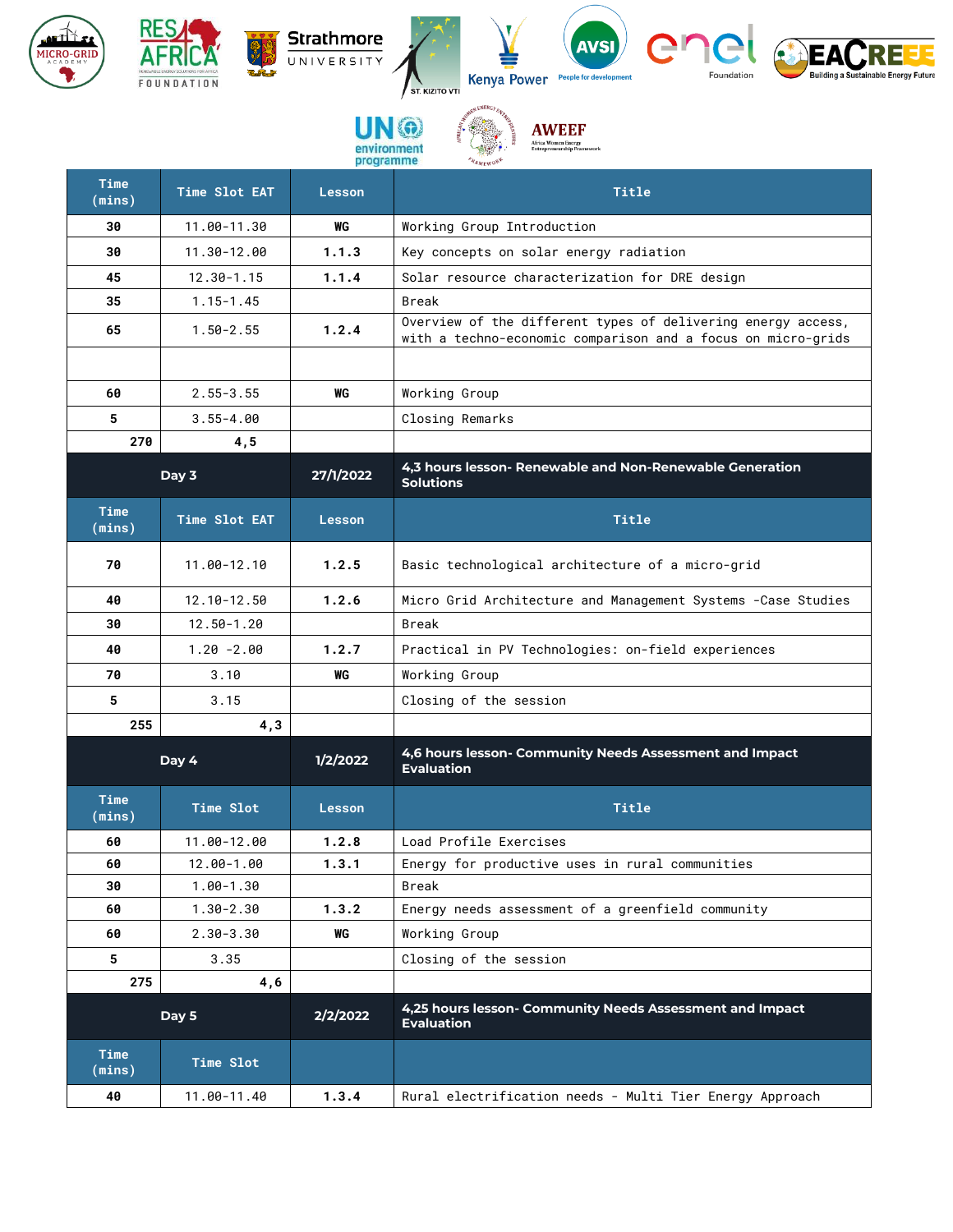

观:

| Time<br>(mins)        | Time Slot EAT | <b>Lesson</b> | <b>Title</b>                                                                                                                 |
|-----------------------|---------------|---------------|------------------------------------------------------------------------------------------------------------------------------|
| 30                    | 11.00-11.30   | WG            | Working Group Introduction                                                                                                   |
| 30                    | 11.30-12.00   | 1.1.3         | Key concepts on solar energy radiation                                                                                       |
| 45                    | 12.30-1.15    | 1.1.4         | Solar resource characterization for DRE design                                                                               |
| 35                    | $1.15 - 1.45$ |               | Break                                                                                                                        |
| 65                    | $1.50 - 2.55$ | 1.2.4         | Overview of the different types of delivering energy access,<br>with a techno-economic comparison and a focus on micro-grids |
|                       |               |               |                                                                                                                              |
| 60                    | $2.55 - 3.55$ | WG            | Working Group                                                                                                                |
| 5                     | $3.55 - 4.00$ |               | Closing Remarks                                                                                                              |
| 270                   | 4,5           |               |                                                                                                                              |
|                       | Day 3         | 27/1/2022     | 4,3 hours lesson- Renewable and Non-Renewable Generation<br><b>Solutions</b>                                                 |
| <b>Time</b><br>(mins) | Time Slot EAT | <b>Lesson</b> | <b>Title</b>                                                                                                                 |
| 70                    | 11.00-12.10   | 1.2.5         | Basic technological architecture of a micro-grid                                                                             |
| 40                    | 12.10-12.50   | 1.2.6         | Micro Grid Architecture and Management Systems - Case Studies                                                                |
| 30                    | 12.50-1.20    |               | Break                                                                                                                        |
| 40                    | $1.20 - 2.00$ | 1.2.7         | Practical in PV Technologies: on-field experiences                                                                           |
| 70                    | 3.10          | WG            | Working Group                                                                                                                |
| 5                     | 3.15          |               | Closing of the session                                                                                                       |
| 255                   | 4,3           |               |                                                                                                                              |
|                       | Day 4         | 1/2/2022      | 4,6 hours lesson- Community Needs Assessment and Impact<br><b>Evaluation</b>                                                 |
| Time<br>(mins)        | Time Slot     | <b>Lesson</b> | <b>Title</b>                                                                                                                 |
| 60                    | 11.00-12.00   | 1.2.8         | Load Profile Exercises                                                                                                       |
| 60                    | 12.00-1.00    | 1.3.1         | Energy for productive uses in rural communities                                                                              |
| 30                    | 1.00-1.30     |               | Break                                                                                                                        |
| 60                    | 1.30-2.30     | 1.3.2         | Energy needs assessment of a greenfield community                                                                            |
| 60                    | $2.30 - 3.30$ | WG            | Working Group                                                                                                                |
| 5                     | 3.35          |               | Closing of the session                                                                                                       |
| 275                   | 4,6           |               |                                                                                                                              |
|                       | Day 5         | 2/2/2022      | 4,25 hours lesson- Community Needs Assessment and Impact<br><b>Evaluation</b>                                                |
| Time<br>(mins)        | Time Slot     |               |                                                                                                                              |
| 40                    | 11.00-11.40   | 1.3.4         | Rural electrification needs - Multi Tier Energy Approach                                                                     |